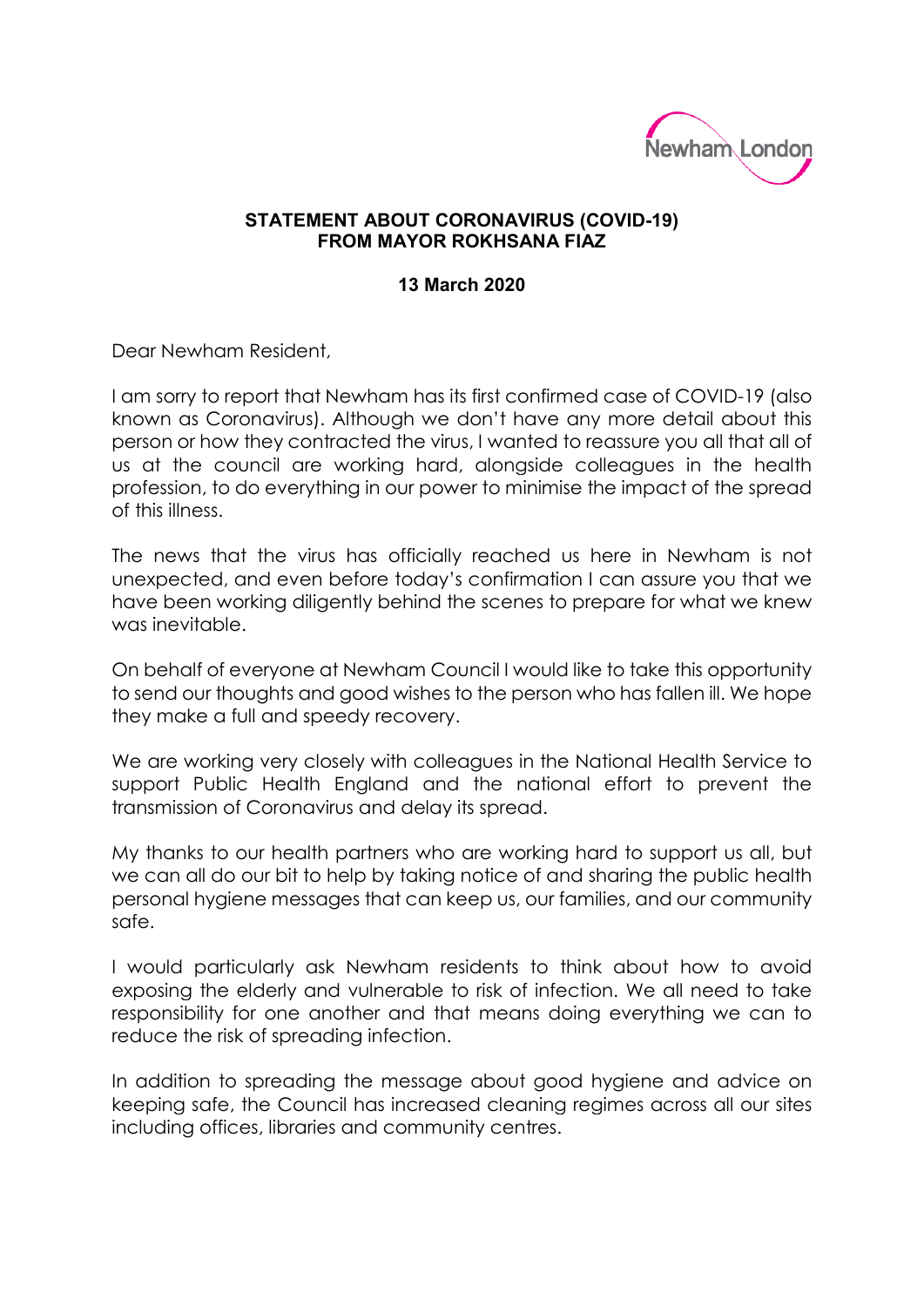

## **STATEMENT ABOUT CORONAVIRUS (COVID-19) FROM MAYOR ROKHSANA FIAZ**

## **13 March 2020**

Dear Newham Resident,

I am sorry to report that Newham has its first confirmed case of COVID-19 (also known as Coronavirus). Although we don't have any more detail about this person or how they contracted the virus, I wanted to reassure you all that all of us at the council are working hard, alongside colleagues in the health profession, to do everything in our power to minimise the impact of the spread of this illness.

The news that the virus has officially reached us here in Newham is not unexpected, and even before today's confirmation I can assure you that we have been working diligently behind the scenes to prepare for what we knew was inevitable.

On behalf of everyone at Newham Council I would like to take this opportunity to send our thoughts and good wishes to the person who has fallen ill. We hope they make a full and speedy recovery.

We are working very closely with colleagues in the National Health Service to support Public Health England and the national effort to prevent the transmission of Coronavirus and delay its spread.

My thanks to our health partners who are working hard to support us all, but we can all do our bit to help by taking notice of and sharing the public health personal hygiene messages that can keep us, our families, and our community safe.

I would particularly ask Newham residents to think about how to avoid exposing the elderly and vulnerable to risk of infection. We all need to take responsibility for one another and that means doing everything we can to reduce the risk of spreading infection.

In addition to spreading the message about good hygiene and advice on keeping safe, the Council has increased cleaning regimes across all our sites including offices, libraries and community centres.